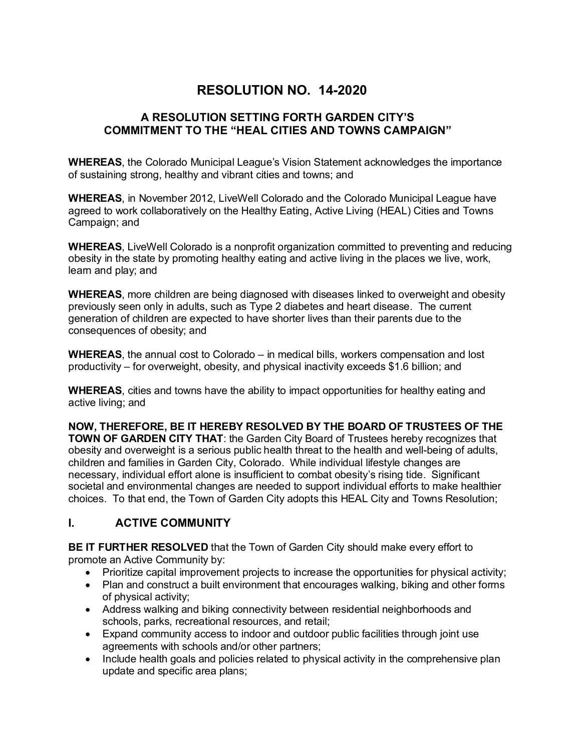# **RESOLUTION NO. 14-2020**

#### **A RESOLUTION SETTING FORTH GARDEN CITY'S COMMITMENT TO THE "HEAL CITIES AND TOWNS CAMPAIGN"**

**WHEREAS**, the Colorado Municipal League's Vision Statement acknowledges the importance of sustaining strong, healthy and vibrant cities and towns; and

**WHEREAS**, in November 2012, LiveWell Colorado and the Colorado Municipal League have agreed to work collaboratively on the Healthy Eating, Active Living (HEAL) Cities and Towns Campaign; and

**WHEREAS**, LiveWell Colorado is a nonprofit organization committed to preventing and reducing obesity in the state by promoting healthy eating and active living in the places we live, work, learn and play; and

**WHEREAS**, more children are being diagnosed with diseases linked to overweight and obesity previously seen only in adults, such as Type 2 diabetes and heart disease. The current generation of children are expected to have shorter lives than their parents due to the consequences of obesity; and

**WHEREAS**, the annual cost to Colorado – in medical bills, workers compensation and lost productivity – for overweight, obesity, and physical inactivity exceeds \$1.6 billion; and

**WHEREAS**, cities and towns have the ability to impact opportunities for healthy eating and active living; and

**NOW, THEREFORE, BE IT HEREBY RESOLVED BY THE BOARD OF TRUSTEES OF THE TOWN OF GARDEN CITY THAT:** the Garden City Board of Trustees hereby recognizes that obesity and overweight is a serious public health threat to the health and well-being of adults, children and families in Garden City, Colorado. While individual lifestyle changes are necessary, individual effort alone is insufficient to combat obesity's rising tide. Significant societal and environmental changes are needed to support individual efforts to make healthier choices. To that end, the Town of Garden City adopts this HEAL City and Towns Resolution;

### **I. ACTIVE COMMUNITY**

**BE IT FURTHER RESOLVED** that the Town of Garden City should make every effort to promote an Active Community by:

- Prioritize capital improvement projects to increase the opportunities for physical activity;
- Plan and construct a built environment that encourages walking, biking and other forms of physical activity;
- Address walking and biking connectivity between residential neighborhoods and schools, parks, recreational resources, and retail;
- Expand community access to indoor and outdoor public facilities through joint use agreements with schools and/or other partners;
- Include health goals and policies related to physical activity in the comprehensive plan update and specific area plans;